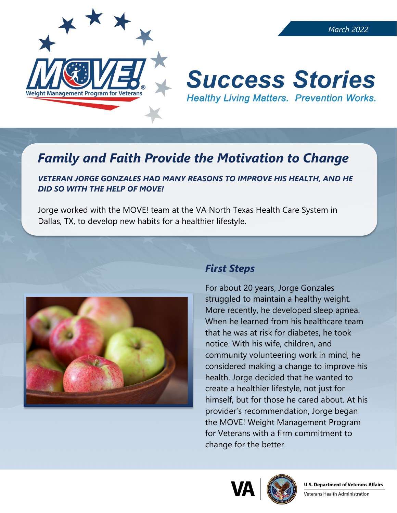

# **Success Stories Healthy Living Matters. Prevention Works.**

## *Family and Faith Provide the Motivation to Change*

#### *VETERAN JORGE GONZALES HAD MANY REASONS TO IMPROVE HIS HEALTH, AND HE DID SO WITH THE HELP OF MOVE!*

Jorge worked with the MOVE! team at the VA North Texas Health Care System in Dallas, TX, to develop new habits for a healthier lifestyle.



#### *First Steps*

For about 20 years, Jorge Gonzales struggled to maintain a healthy weight. More recently, he developed sleep apnea. When he learned from his healthcare team that he was at risk for diabetes, he took notice. With his wife, children, and community volunteering work in mind, he considered making a change to improve his health. Jorge decided that he wanted to create a healthier lifestyle, not just for himself, but for those he cared about. At his provider's recommendation, Jorge began the MOVE! Weight Management Program for Veterans with a firm commitment to change for the better.





Veterans Health Administration